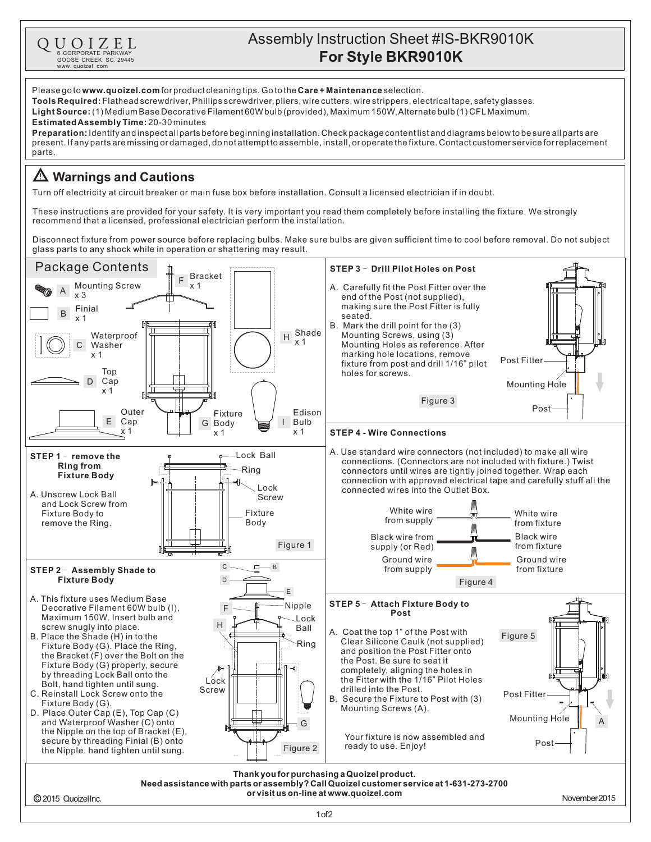## Assembly Instruction Sheet #IS-BKR9010K QUOIZEL **For Style BKR9010K** 6 CORPORATE PARKWAY<br>GOOSE CREEK, SC. 29445 www. quoizel. com Please go to **www.quoizel.com** for product cleaning tips. Go to the **Care + Maintenance** selection. **Tools Required:** Flathead screwdriver, Phillips screwdriver, pliers, wire cutters, wire strippers, electrical tape, safety glasses. (1) Medium Base Decorative Filament 60W bulb (provided), Maximum 150W,Alternate bulb (1) CFLMaximum. **LightSource: EstimatedAssemblyTime:** 20-30minutes **Preparation:** Identifyandinspectallpartsbeforebeginninginstallation.Checkpackagecontentlistanddiagramsbelowtobesureallpartsare present.Ifanypartsaremissingordamaged,donotattempttoassemble,install,oroperatethefixture.Contactcustomerserviceforreplacement parts. **Warnings and Cautions** Turn off electricity at circuit breaker or main fuse box before installation. Consult a licensed electrician if in doubt. These instructions are provided for your safety. It is very important you read them completely before installing the fixture. We strongly recommend that a licensed, professional electrician perform the installation. Disconnect fixture from power source before replacing bulbs. Make sure bulbs are given sufficient time to cool before removal. Do not subject glass parts to any shock while in operation or shattering may result. Package Contents **STEP 3 - Drill Pilot Holes on Post** <sup>F</sup> Bracket x 1 A Mounting Screw A. Carefully fit the Post Fitter over the x 3 end of the Post (not supplied), making sure the Post Fitter is fully  $B \quad \ldots \quad B$ seated. x 1 B. Mark the drill point for the (3) <sup>H</sup> Shade Mounting Screws, using (3) Waterproof x 1 Washer Mounting Holes as reference. After C marking hole locations, remove x 1 Post Fitter fixture from post and drill 1/16" pilot Top holes for screws. Cap D Mounting Hole x 1 Figure 3 Post Outer Edison Fixture Bulb E Cap I G Body x 1 x 1 x 1 **STEP 4 - Wire Connections** A. Use standard wire connectors (not included) to make all wire Lock Ball STEP 1 - remove the connections. (Connectors are not included with fixture.) Twist **Ring from** Ring connectors until wires are tightly joined together. Wrap each **Fixture Body** connection with approved electrical tape and carefully stuff all the β⊧ Lock connected wires into the Outlet Box. A. Unscrew Lock Ball Screw and Lock Screw from White wire Fixture Body to Fixture White wire from supply Body from fixture remove the Ring. Black wire Black wire from Figure 1 from fixture supply (or Red) M  $\overline{r}$ Ground wire Ground wire CB  $\Box$ from supply from fixture STEP 2 - Assembly Shade to **Fixture Body** D Figure 4 E A. This fixture uses Medium Base STEP 5 - Attach Fixture Body to Nipple Decorative Filament 60W bulb (I), F **Post** Maximum 150W. Insert bulb and Lock H screw snugly into place. Ball A. Coat the top 1" of the Post with B. Place the Shade (H) in to the Figure 5 Clear Silicone Caulk (not supplied) Ring Fixture Body (G). Place the Ring, and position the Post Fitter onto the Bracket (F) over the Bolt on the the Post. Be sure to seat it Fixture Body (G) properly, secure completely, aligning the holes in by threading Lock Ball onto the the Fitter with the 1/16" Pilot Holes Lock Bolt, hand tighten until sung. drilled into the Post. Screw C. Reinstall Lock Screw onto the Post Fitter B. Secure the Fixture to Post with (3) Fixture Body (G). Mounting Screws (A). D. Place Outer Cap (E), Top Cap (C) **Mounting Hole** and Waterproof Washer (C) onto  $\overline{G}$ the Nipple on the top of Bracket (E), Your fixture is now assembled and secure by threading Finial (B) onto Pos ready to use. Enjoy! the Nipple. hand tighten until sung.  $\begin{bmatrix} 1 \\ 1 \end{bmatrix}$  Figure 2 **Thank youfor purchasinga Quoizelproduct. Needassistance withparts or assembly?CallQuoizelcustomer service at 1-631-273-2700 or visit us on-line at www.quoizel.com** 2015 QuoizelInc. November2015